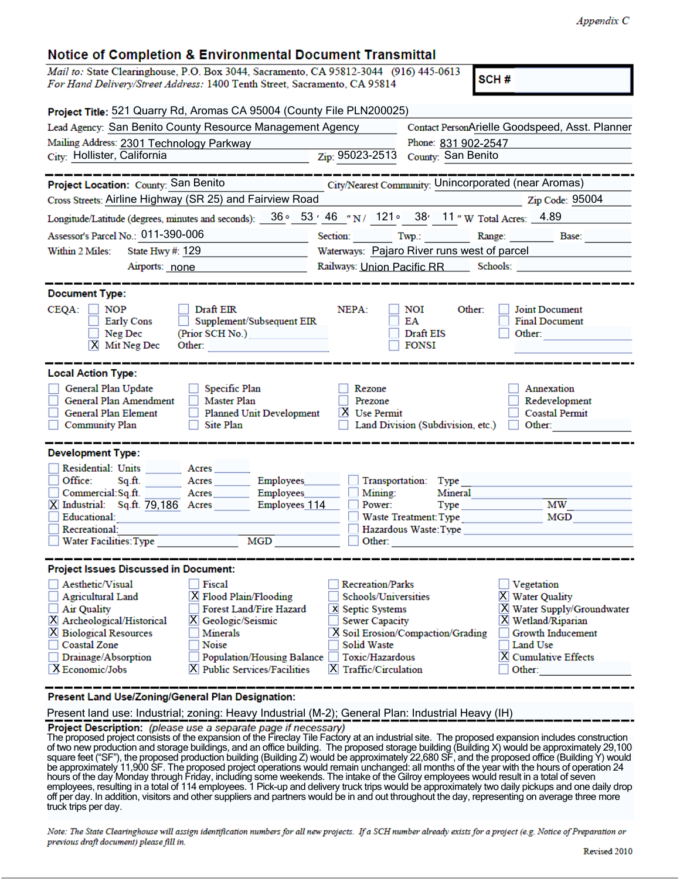## Notice of Completion & Environmental Document Transmittal

| Nouce of Completion & Environmental Document Fransmittan                                                                                                                   |                                                                                                                                                                                                                                                                                                                     |                                                                                                                                                                                                                                                                                        |  |  |
|----------------------------------------------------------------------------------------------------------------------------------------------------------------------------|---------------------------------------------------------------------------------------------------------------------------------------------------------------------------------------------------------------------------------------------------------------------------------------------------------------------|----------------------------------------------------------------------------------------------------------------------------------------------------------------------------------------------------------------------------------------------------------------------------------------|--|--|
| Mail to: State Clearinghouse, P.O. Box 3044, Sacramento, CA 95812-3044 (916) 445-0613<br>For Hand Delivery/Street Address: 1400 Tenth Street, Sacramento, CA 95814         |                                                                                                                                                                                                                                                                                                                     | SCH#                                                                                                                                                                                                                                                                                   |  |  |
| Project Title: 521 Quarry Rd, Aromas CA 95004 (County File PLN200025)                                                                                                      |                                                                                                                                                                                                                                                                                                                     |                                                                                                                                                                                                                                                                                        |  |  |
| Lead Agency: San Benito County Resource Management Agency                                                                                                                  |                                                                                                                                                                                                                                                                                                                     | Contact PersonArielle Goodspeed, Asst. Planner                                                                                                                                                                                                                                         |  |  |
| Mailing Address: 2301 Technology Parkway                                                                                                                                   | Phone: 831 902-2547<br>$\mathcal{L}^{\mathcal{L}}(\mathcal{L}^{\mathcal{L}})$ and $\mathcal{L}^{\mathcal{L}}(\mathcal{L}^{\mathcal{L}})$ and $\mathcal{L}^{\mathcal{L}}(\mathcal{L}^{\mathcal{L}})$                                                                                                                 |                                                                                                                                                                                                                                                                                        |  |  |
| City: Hollister, California                                                                                                                                                | Zip: 95023-2513                                                                                                                                                                                                                                                                                                     | County: San Benito                                                                                                                                                                                                                                                                     |  |  |
|                                                                                                                                                                            |                                                                                                                                                                                                                                                                                                                     |                                                                                                                                                                                                                                                                                        |  |  |
| Project Location: County: San Benito                                                                                                                                       | City/Nearest Community: Unincorporated (near Aromas)                                                                                                                                                                                                                                                                |                                                                                                                                                                                                                                                                                        |  |  |
| Cross Streets: Airline Highway (SR 25) and Fairview Road                                                                                                                   | $\frac{1}{2}$ $\frac{1}{2}$ $\frac{1}{2}$ $\frac{1}{2}$ $\frac{1}{2}$ $\frac{1}{2}$ $\frac{1}{2}$ $\frac{1}{2}$ $\frac{1}{2}$ $\frac{1}{2}$ $\frac{1}{2}$ $\frac{1}{2}$ $\frac{1}{2}$ $\frac{1}{2}$ $\frac{1}{2}$ $\frac{1}{2}$ $\frac{1}{2}$ $\frac{1}{2}$ $\frac{1}{2}$ $\frac{1}{2}$ $\frac{1}{2}$ $\frac{1}{2}$ |                                                                                                                                                                                                                                                                                        |  |  |
| Longitude/Latitude (degrees, minutes and seconds): 36° 53′ 46 "N/ 121° 38' 11 "W Total Acres: 4.89                                                                         |                                                                                                                                                                                                                                                                                                                     |                                                                                                                                                                                                                                                                                        |  |  |
| Assessor's Parcel No.: 011-390-006                                                                                                                                         | Section: Twp.: Twp.: Range: Base:                                                                                                                                                                                                                                                                                   |                                                                                                                                                                                                                                                                                        |  |  |
| Within 2 Miles:<br>State Hwy #: 129<br>Waterways: Pajaro River runs west of parcel                                                                                         |                                                                                                                                                                                                                                                                                                                     |                                                                                                                                                                                                                                                                                        |  |  |
| Airports: none                                                                                                                                                             |                                                                                                                                                                                                                                                                                                                     |                                                                                                                                                                                                                                                                                        |  |  |
|                                                                                                                                                                            |                                                                                                                                                                                                                                                                                                                     |                                                                                                                                                                                                                                                                                        |  |  |
| <b>Document Type:</b>                                                                                                                                                      |                                                                                                                                                                                                                                                                                                                     |                                                                                                                                                                                                                                                                                        |  |  |
| Draft EIR<br>$CEQA: \Box NOP$<br>Supplement/Subsequent EIR<br>Early Cons<br>Neg Dec<br>(Prior SCH No.)<br>$X$ Mit Neg Dec<br>Other:                                        | NEPA:<br>NOI<br>Other:<br>EA<br>Draft EIS<br>FONSI                                                                                                                                                                                                                                                                  | Joint Document<br><b>Final Document</b><br>Other:                                                                                                                                                                                                                                      |  |  |
| <b>Local Action Type:</b>                                                                                                                                                  |                                                                                                                                                                                                                                                                                                                     |                                                                                                                                                                                                                                                                                        |  |  |
| General Plan Update<br>Specific Plan<br>General Plan Amendment<br>Master Plan<br>Planned Unit Development<br>General Plan Element<br>Community Plan<br>Site Plan<br>$\Box$ | Rezone<br>Prezone<br><b>X</b> Use Permit<br>Land Division (Subdivision, etc.)                                                                                                                                                                                                                                       | Annexation<br>Redevelopment<br><b>Coastal Permit</b><br>Other: and the state of the state of the state of the state of the state of the state of the state of the state of the state of the state of the state of the state of the state of the state of the state of the state of the |  |  |
| <b>Development Type:</b>                                                                                                                                                   |                                                                                                                                                                                                                                                                                                                     |                                                                                                                                                                                                                                                                                        |  |  |
| Residential: Units Acres                                                                                                                                                   |                                                                                                                                                                                                                                                                                                                     |                                                                                                                                                                                                                                                                                        |  |  |
| Office:<br>Acres Employees<br>Sq.ft.                                                                                                                                       | Transportation: Type                                                                                                                                                                                                                                                                                                |                                                                                                                                                                                                                                                                                        |  |  |
| Commercial:Sq.ft.<br>Acres Employees Represent Law                                                                                                                         | Mining:<br>Mineral                                                                                                                                                                                                                                                                                                  |                                                                                                                                                                                                                                                                                        |  |  |
| X Industrial: Sq.ft. 79,186 Acres Employees 114<br>Educational:                                                                                                            | Power:<br><b>Type</b><br>Waste Treatment: Type                                                                                                                                                                                                                                                                      | $\overline{\text{MW}}$<br>MGD <sub>2</sub>                                                                                                                                                                                                                                             |  |  |
| Recreational:                                                                                                                                                              | Hazardous Waste: Type                                                                                                                                                                                                                                                                                               |                                                                                                                                                                                                                                                                                        |  |  |
| MGD<br>Water Facilities: Type                                                                                                                                              | Other: and the state of the state of the state of the state of the state of the state of the state of the state of the state of the state of the state of the state of the state of the state of the state of the state of the                                                                                      |                                                                                                                                                                                                                                                                                        |  |  |
|                                                                                                                                                                            |                                                                                                                                                                                                                                                                                                                     |                                                                                                                                                                                                                                                                                        |  |  |
| <b>Project Issues Discussed in Document:</b>                                                                                                                               |                                                                                                                                                                                                                                                                                                                     |                                                                                                                                                                                                                                                                                        |  |  |
| Aesthetic/Visual<br>Fiscal                                                                                                                                                 | <b>Recreation/Parks</b>                                                                                                                                                                                                                                                                                             | Vegetation                                                                                                                                                                                                                                                                             |  |  |
| Agricultural Land<br>X Flood Plain/Flooding<br><b>Forest Land/Fire Hazard</b><br>Air Quality                                                                               | <b>Schools/Universities</b><br>X Septic Systems                                                                                                                                                                                                                                                                     | X Water Quality<br>$X$ Water Supply/Groundwater                                                                                                                                                                                                                                        |  |  |
| X Archeological/Historical<br>X Geologic/Seismic                                                                                                                           | <b>Sewer Capacity</b>                                                                                                                                                                                                                                                                                               | X Wetland/Riparian                                                                                                                                                                                                                                                                     |  |  |
| <b>X</b> Biological Resources<br>Minerals                                                                                                                                  | X Soil Erosion/Compaction/Grading                                                                                                                                                                                                                                                                                   | Growth Inducement                                                                                                                                                                                                                                                                      |  |  |
| Noise<br>Coastal Zone                                                                                                                                                      | Solid Waste                                                                                                                                                                                                                                                                                                         | Land Use                                                                                                                                                                                                                                                                               |  |  |
| Population/Housing Balance<br>Drainage/Absorption                                                                                                                          | Toxic/Hazardous                                                                                                                                                                                                                                                                                                     | X Cumulative Effects                                                                                                                                                                                                                                                                   |  |  |
| X Economic/Jobs<br>X Public Services/Facilities                                                                                                                            | $ X $ Traffic/Circulation                                                                                                                                                                                                                                                                                           | Other:                                                                                                                                                                                                                                                                                 |  |  |

Present Land Use/Zoning/General Plan Designation:

Present land use: Industrial; zoning: Heavy Industrial (M-2); General Plan: Industrial Heavy (IH)

The proposed project consists of the expansion of the Fireclay Tile Factory at an industrial site. The proposed expansion includes construction of two new production and storage buildings, and an office building. The proposed storage building (Building X) would be approximately 29,100 square feet ("SF"), the proposed production building (Building Z) would be approximately 22,680 SF, and the proposed office (Building Y) would be approximately 11,900 SF. The proposed project operations would remain unchanged: all months of the year with the hours of operation 24 hours of the day Monday through Friday, including some weekends. The intake of the Gilroy employees would result in a total of seven employees, resulting in a total of 114 employees. 1 Pick-up and delivery truck trips would be approximately two daily pickups and one daily drop off per day. In addition, visitors and other suppliers and partners would be in and out throughout the day, representing on average three more truck trips per day.

Note: The State Clearinghouse will assign identification numbers for all new projects. If a SCH number already exists for a project (e.g. Notice of Preparation or previous draft document) please fill in.